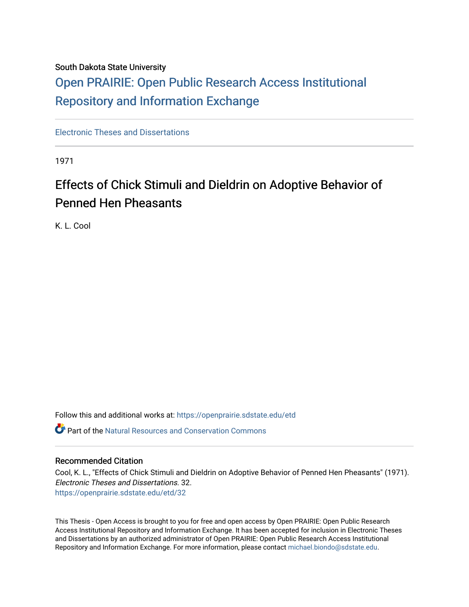# South Dakota State University

# [Open PRAIRIE: Open Public Research Access Institutional](https://openprairie.sdstate.edu/)  [Repository and Information Exchange](https://openprairie.sdstate.edu/)

[Electronic Theses and Dissertations](https://openprairie.sdstate.edu/etd)

1971

# Effects of Chick Stimuli and Dieldrin on Adoptive Behavior of Penned Hen Pheasants

K. L. Cool

Follow this and additional works at: [https://openprairie.sdstate.edu/etd](https://openprairie.sdstate.edu/etd?utm_source=openprairie.sdstate.edu%2Fetd%2F32&utm_medium=PDF&utm_campaign=PDFCoverPages)

**C** Part of the Natural Resources and Conservation Commons

# Recommended Citation

Cool, K. L., "Effects of Chick Stimuli and Dieldrin on Adoptive Behavior of Penned Hen Pheasants" (1971). Electronic Theses and Dissertations. 32. [https://openprairie.sdstate.edu/etd/32](https://openprairie.sdstate.edu/etd/32?utm_source=openprairie.sdstate.edu%2Fetd%2F32&utm_medium=PDF&utm_campaign=PDFCoverPages) 

This Thesis - Open Access is brought to you for free and open access by Open PRAIRIE: Open Public Research Access Institutional Repository and Information Exchange. It has been accepted for inclusion in Electronic Theses and Dissertations by an authorized administrator of Open PRAIRIE: Open Public Research Access Institutional Repository and Information Exchange. For more information, please contact [michael.biondo@sdstate.edu.](mailto:michael.biondo@sdstate.edu)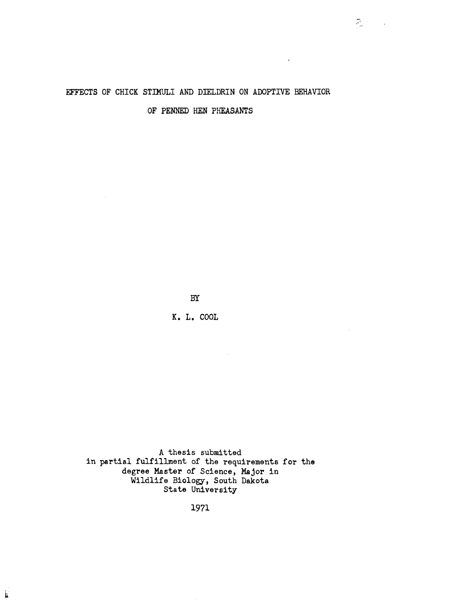# EFFECTS OF CHICK STIMULI AND DIELDRIN ON ADOPTIVE BEHAVIOR

 $Z_{\rm eff}$  .

**Contractor** 

OF PENNED HEN PHEASANTS

BY

K. L. COOL

A thesis submitted in partial fulfillment of the requirements for the degree Master of Science, Major in Wildlife Biology, South Dakota State University

1971

 $\hat{\mathcal{A}}$ 

j.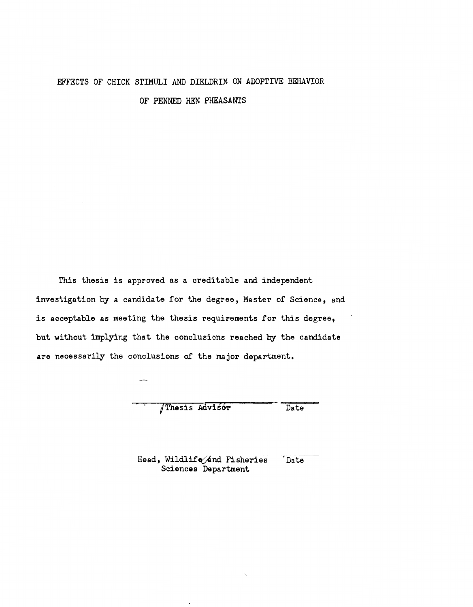# EFFECTS OF CHICK STIMULI AND DIELDRIN ON ADOPTIVE BEHAVIOR

OF PENNED HEN PHEASANTS

This thesis is approved as a creditable and independent investigation by a candidate for the degree, Master of Science, and is acceptable as meeting the thesis requirements for this degree, but without implying that the conclusions reached by the candidate are necessarily the conclusions of the major department.

/Thesis Advisor Date

Head, Wildlife/and Fisheries Date Sciences Department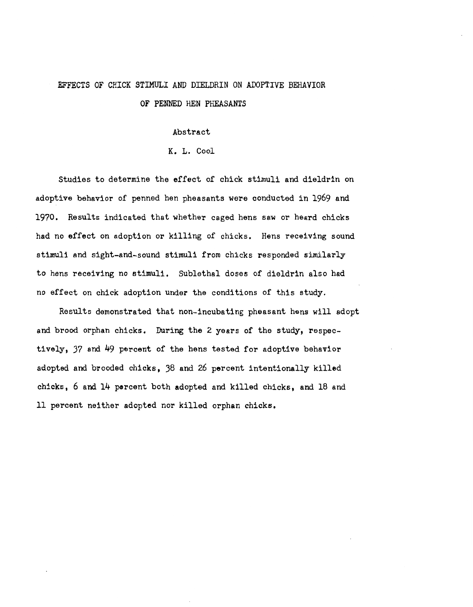# EFFECTS OF CHICK STIMULI AND DIELDRIN ON ADOPTIVE BEHAVIOR

OF PENNED HEN PHEASANTS

Abstract

K. L. Cool

Studies to determine the effect of chick stimuli and dieldrin on adoptive behavior of penned hen pheasants were conducted in 1969 and 1970. Results indicated that whether caged hens saw or heard chicks had no effect on adoption or killing of chicks. Hens receiving sound stimuli and sight-and-sound stimuli from chicks responded similarly to hens receiving no stimuli. Sublethal doses of dieldrin also had no effect on chick adoption under the conditions of this study.

Results demonstrated that non-incubating pheasant hens will adopt and brood orphan chicks. During the 2 years of the study, respectively, 37 and 49 percent of the hens tested for adoptive behavior adopted and brooded chicks, 38 and 26 percent intentionally killed chicks, 6 and 14 percent both adopted and killed chicks, and 18 and 11 percent neither adopted nor killed orphan chicks.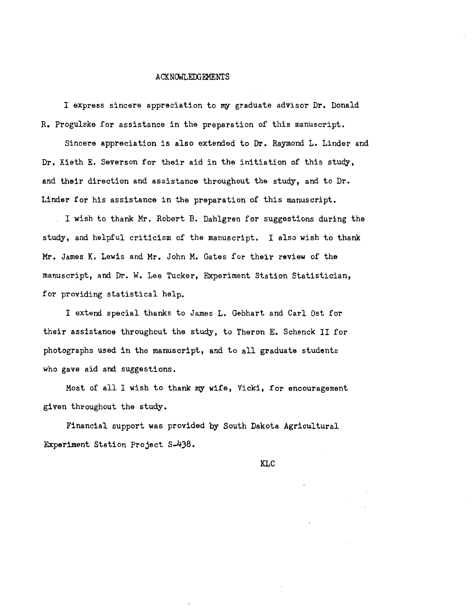#### .ACKNCMLEOOEMENTS

I express sincere appreciation to my graduate advisor Dr. Donald R. Progulske for assistance in the preparation of this manuscript.

Sincere appreciation is also extended to Dr. Raymond L. Linder and Dr. Kieth E. Severson for their aid in the initiation of this study, and their direction and assistance throughout the study, and to Dr. Linder for his assistance in the preparation of this manuscript.

I wish to thank Mr. Robert B. Dahlgren for suggestions during the study, and helpful criticism of the manuscript. I also wish to thank Mr. James K. Lewis and Mr. John M. Gates for their review of the manuscript, and Dr. W. Lee Tucker, Experiment Station Statistician, for providing statistical help.

I extend special thanks to James L. Gebhart and Carl Ost for their assistance throughout the study, to Theron E. Schenck II for photographs used in the manuscript, and to all graduate students who gave aid and suggestions.

Most of all I wish to thank my wife, Vicki, for encouragement given throughout the study.

Financial support was provided by South Dakota Agricultural Experiment Station Project S-4)8.

KLC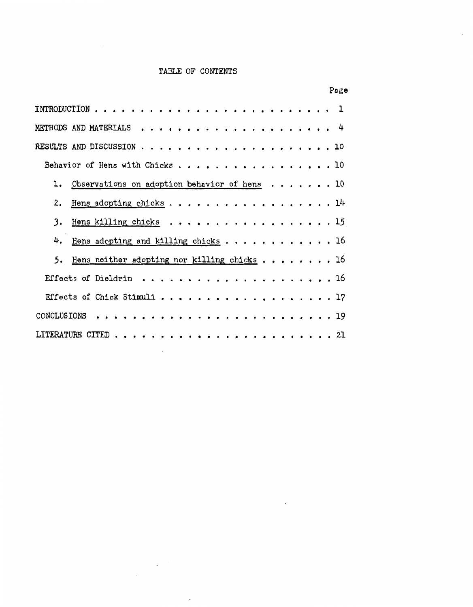# TABLE OF CONTENTS

| Page                                                                     |  |
|--------------------------------------------------------------------------|--|
|                                                                          |  |
|                                                                          |  |
|                                                                          |  |
| Behavior of Hens with Chicks 10                                          |  |
| 1. Observations on adoption behavior of hens 10                          |  |
| Hens adopting chicks 14<br>2.                                            |  |
| 3.<br>Hens killing chicks $\ldots \ldots \ldots \ldots \ldots \ldots$ 15 |  |
| 4.<br>Hens adopting and killing chicks $\ldots$ 16                       |  |
| Hens neither adopting nor killing chicks $\ldots$ ,  . 16<br>5.          |  |
|                                                                          |  |
| Effects of Chick Stimuli 17                                              |  |
|                                                                          |  |
|                                                                          |  |

 $\sim 10^{-11}$ 

i.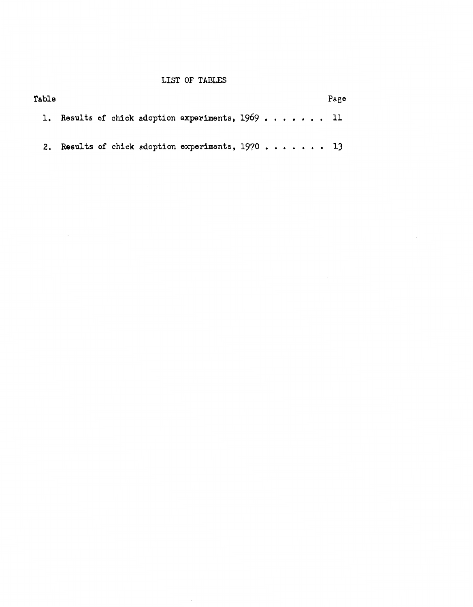# LIST OF TABLES

| Table |  |  |                                                   |  |  |  |  | Page |
|-------|--|--|---------------------------------------------------|--|--|--|--|------|
|       |  |  | 1. Results of chick adoption experiments, 1969 11 |  |  |  |  |      |
| 2.    |  |  | Results of chick adoption experiments, $1970$ 13  |  |  |  |  |      |

 $\sim$   $\sim$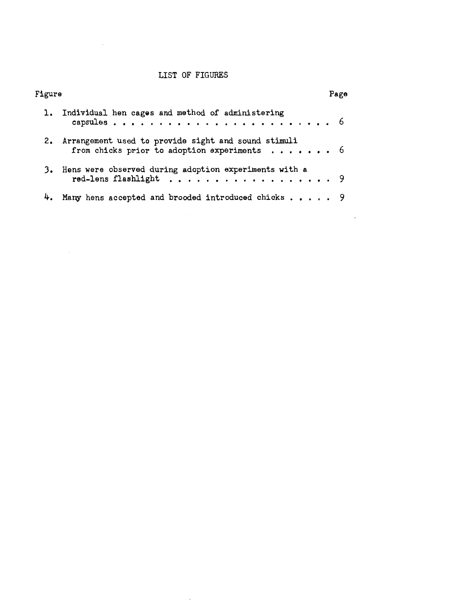# LIST OF FIGURES

| Figure |                                                                                                       | Page |
|--------|-------------------------------------------------------------------------------------------------------|------|
|        | 1. Individual hen cages and method of administering                                                   |      |
|        | 2. Arrangement used to provide sight and sound stimuli<br>from chicks prior to adoption experiments 6 |      |
|        | 3. Hens were observed during adoption experiments with a<br>red-lens flashlight 9                     |      |
|        | Many hens accepted and brooded introduced chicks 9                                                    |      |

 $\ddot{\phantom{a}}$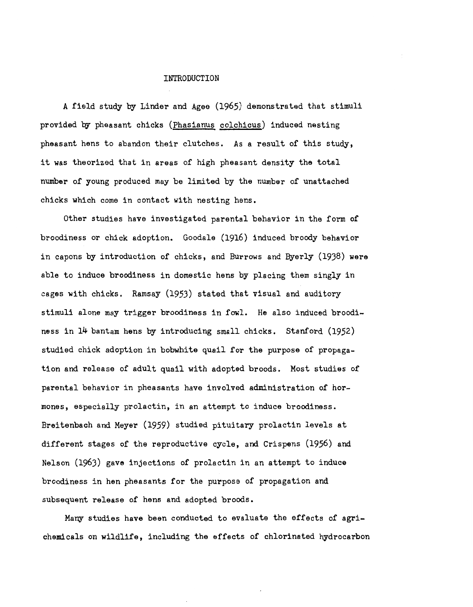#### INTRODUCTION

A field study by Linder and Agee (1965) demonstrated that stimuli provided by pheasant chicks (Phasianus colchicus) induced nesting pheasant hens to abandon their clutches. As a result of this study, it was theorized that in areas of high pheasant density the total number of young produced may be limited by the number of unattached chicks which come in contact with nesting hens.

Other studies have investigated parental behavior in the form of broodiness or chick adoption. Goodale (1916) induced broody behavior in capons by introduction of chicks, and Burrows and Byerly (1938) were able to induce broodiness in domestic hens by placing them singly in cages with chicks. Ramsay (1953) stated that visual and auditory stimuli alone may trigger broodiness in fowl. He also induced broodiness in 14 bantam hens by introducing small chicks. Stanford (1952) studied chick adoption in bobwhite quail for the purpose of propagation and release of adult quail with adopted broods. Most studies of parental behavior in pheasants have involved administration of hormones, especially prolactin, in an attempt to induce broodiness. Breitenbach and Meyer (1959) studied pituitary prolactin levels at different stages of the reproductive cycle, and Crispens (1956) and Nelson (1963) gave injections of prolactin in an attempt to induce broodiness in hen pheasants for the purpose of propagation and subsequent release of hens and adopted broods.

Many studies have been conducted to evaluate the effects of agrichemicals on wildlife, including the effects of chlorinated hydrocarbon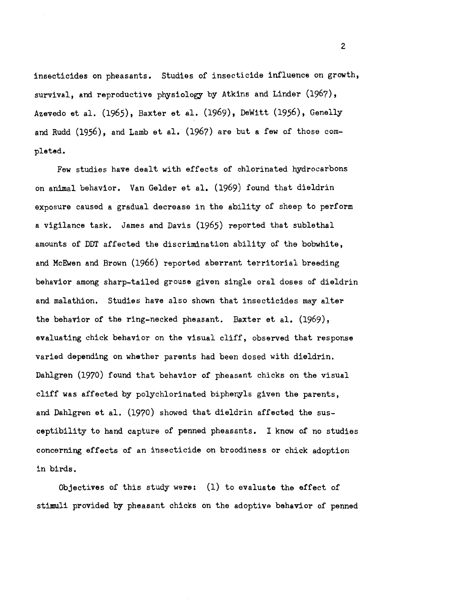insecticides on pheasants. Studies of insecticide influence on growth, survival, and reproductive physiology by Atkins and Linder (1967), Azevedo et al. (1965), Baxter et al. (1969), DeWitt (1956), Genelly and Rudd (1956), and Lamb et al. (1967) are but a few of those completed.

Few studies have dealt with effects of chlorinated hydrocarbons on animal behavior. Van Gelder et al. (1969) found that dieldrin exposure caused a gradual decrease in the ability of sheep to perform a vigilance task. James and Davis (1965) reported that sublethal amounts of DDT affected the discrimination ability of the bobwhite, and McEwen and Brown (1966) reported aberrant territorial breeding behavior among sharp-tailed grouse given single oral doses of dieldrin and malathion. Studies have also shown that insecticides may alter the behavior of the ring-necked pheasant. Baxter et al. (1969), evaluating chick behavior on the visual cliff, observed that response varied depending on whether parents had been dosed with dieldrin. Dahlgren (1970) found that behavior of pheasant chicks on the visual cliff was affected by polychlorinated biphenyls given the parents, and Dahlgren et al. (1970) showed that dieldrin affected the susceptibility to hand capture of penned pheasants. I know of no studies concerning effects of an insecticide on broodiness or chick adoption in birds.

Objectives of this study were:  $(1)$  to evaluate the effect of stimuli provided by pheasant chicks on the adoptive behavior of penned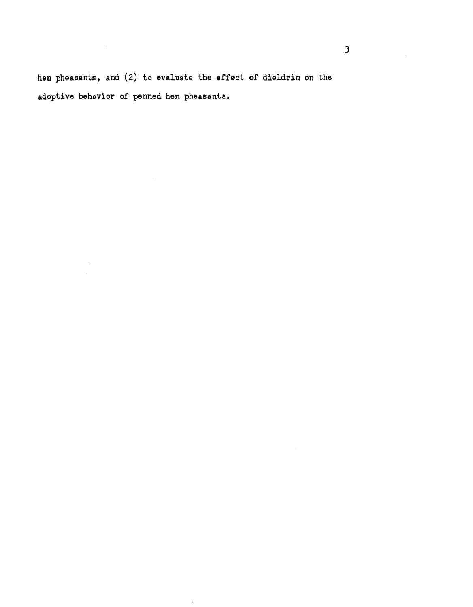hen pheasants, and (2) to evaluate the effect of dieldrin on the adoptive behavior of penned hen pheasants.

 $_{\star}$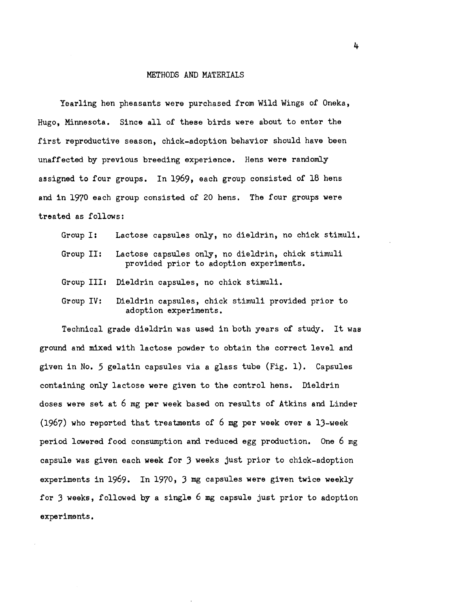#### METHODS AND MATERIALS

Yearling hen pheasants were purchased from Wild Wings of Oneka, Hugo, Minnesota. Since all of these birds were about to enter the first reproductive season, chick-adoption behavior should have been unaffected by previous breeding experience. Hens were randomly assigned to four groups. In 1969, each group consisted of 18 hens and in 1970 each group consisted of 20 hens. The four groups were treated as follows:

Group I: Lactose capsules only, no dieldrin, no chick stimuli.

- Group II: Lactose capsules only, no dieldrin, chick stimuli provided prior to adoption experiments.
- Group IIIz Dieldrin capsules, no chick stimuli.
- Group IV: Dieldrin capsules, chick stimuli provided prior to adoption experiments.

Technical grade dieldrin was used in both years of study. It was ground and mixed with lactose powder to obtain the correct level and given in No. 5 gelatin capsules via a glass tube (Fig. 1). Capsules containing only lactose were given to the control hens. Dieldrin doses were set at 6 mg per week based on results of Atkins and Linder (1967) who reported that treatments of 6 mg per week over a lJ-week period lowered food consumption and reduced egg production. One 6 mg capsule was given each week for J weeks just prior to chick-adoption experiments in 1969. In 1970, J mg capsules were given twice weekly for 3 weeks, followed by a single 6 mg capsule just prior to adoption experiments.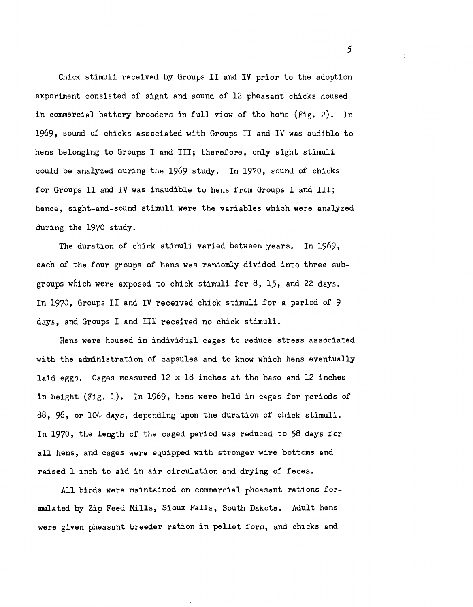Chick stimuli received by Groups II and IV prior to the adoption experiment consisted of sight and sound of 12 pheasant chicks housed in commercial battery brooders in full view of the hens (Fig. 2). In 1969, sound of chicks associated with Groups II and IV was audible to hens belonging to Groups I and III; therefore, only sight stimuli could be analyzed during the 1969 study. In 1970, sound of chicks for Groups II and IV was inaudible to hens from Groups I and III; hence, sight-and-sound stimuli were the variables which were analyzed during the 1970 study.

The duration of chick stimuli varied between years. In 1969, each of the four groups of hens was randomly divided into three subgroups which were exposed to chick stimuli for 8, 15, and 22 days. In 1970, Groups II and IV received chick stimuli for a period of 9 days, and Groups I and III received no chick stimuli.

Hens were housed in individual cages to reduce stress associated with the administration of capsules and to know which hens eventually laid eggs. Cages measured 12 x 18 inches at the base and 12 inches in height (Fig. 1). In 1969, hens were held in cages for periods of 88, 96, or 104 days, depending upon the duration of chick stimuli. In 1970, the length of the caged period was reduced to 58 days for all hens, and cages were equipped with stronger wire bottoms and raised 1 inch to aid in air circulation and drying of feces.

All birds were maintained on commercial pheasant rations formulated by Zip Feed Mills, Sioux Falls, South Dakota. Adult hens were given pheasant breeder ration in pellet form, and chicks and

*5*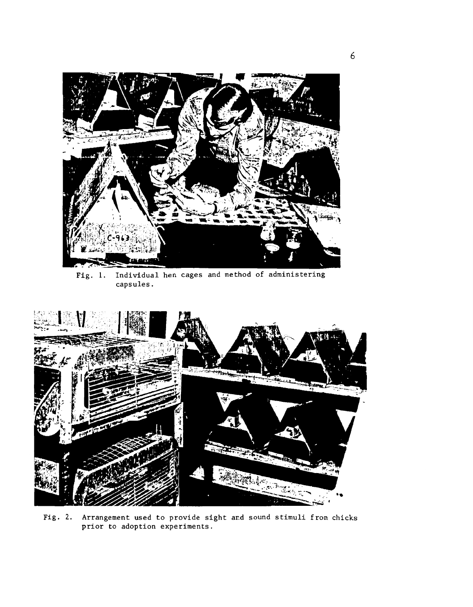

Fig. 1. Individual hen cages and method of administering capsules.



Fig. 2. Arrangement used to provide sight and sound stimuli from chicks prior to adoption experiments.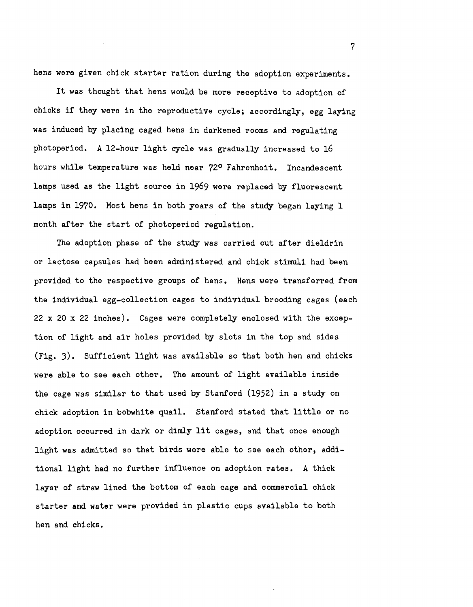hens were given chick starter ration during the adoption experiments.

It was thought that hens would be more receptive to adoption of chicks if they were in the reproductive cycle; accordingly, egg laying was induced by placing caged hens in darkened rooms and regulating photoperiod. A 12-hour light cycle was gradually increased to 16 hours while temperature was held near 72° Fahrenheit. Incandescent lamps used as the light source in 1969 were replaced by fluorescent lamps in 1970. Most hens in both years of the study began laying 1 month after the start of photoperiod regulation.

The adoption phase of the study was carried out after dieldrin or lactose capsules had been administered and chick stimuli had been provided to the respective groups of hens. Hens were transferred from the individual egg-collection cages to individual brooding cages (each 22 x 20 x 22 inches). Cages were completely enclosed with the exception of light and air holes provided by slots in the top and sides (Fig. J). Sufficient light was available so that both hen and chicks were able to see each other. The amount of light available inside the cage was similar to that used by Stanford (1952) in a study on chick adoption in bobwhite quail. Stanford stated that little or no adoption occurred in dark or dimly lit cages, and that once enough light was admitted so that birds were able to see each other, additional light had no further influence on adoption rates. A thick layer of straw lined the bottom of each cage and commercial chick starter and water were provided in plastic cups available to both hen and chicks.

7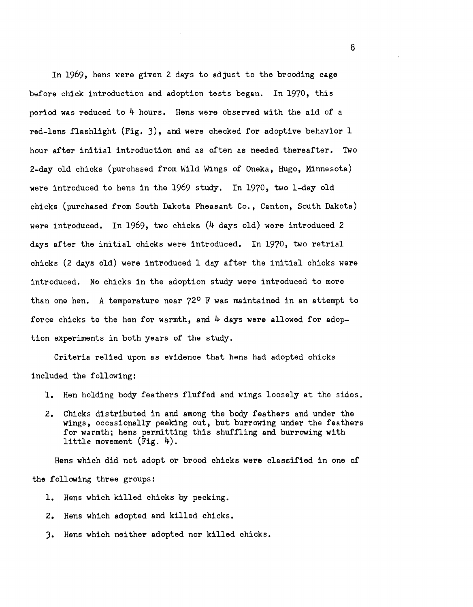In 1969, hens were given 2 days to adjust to the brooding cage before chick introduction and adoption tests began. In 1970, this period was reduced to 4 hours. Hens were observed with the aid of a red-lens flashlight (Fig. 3), and were checked for adoptive behavior 1 hour after initial introduction and as often as needed thereafter. Two 2-day old chicks (purchased from Wild Wings of Onaka, Hugo, Minnesota) were introduced to hens in the 1969 study. In 1970, two 1-day old chicks (purchased from South Dakota Pheasant Co., Canton, South Dakota) were introduced. In 1969, two chicks (4 days old) were introduced 2 days after the initial chicks were introduced. In 1970, two retrial chicks (2 days old) were introduced 1 day after the initial chicks were introduced. No chicks in the adoption study were introduced to more than one hen. A temperature near 72° F was maintained in an attempt to force chicks to the hen for warmth, and  $4$  days were allowed for adoption experiments in both years of the study.

Criteria relied upon as evidence that hens had adopted chicks included the following:

- 1. Hen holding body feathers fluffed and wings loosely at the sides.
- 2. Chicks distributed in and among the body feathers and under the wings, occasionally peeking out, but burrowing under the feathers for warmth; hens permitting this shuffling and burrowing with little movement (Fig. 4).

Hens which did not adopt or brood chicks were classified in one of the following three groups:

- 1. Hens which killed chicks by pecking.
- 2. Hens which adopted and killed chicks.
- 3. Hens which neither adopted nor killed chicks.

8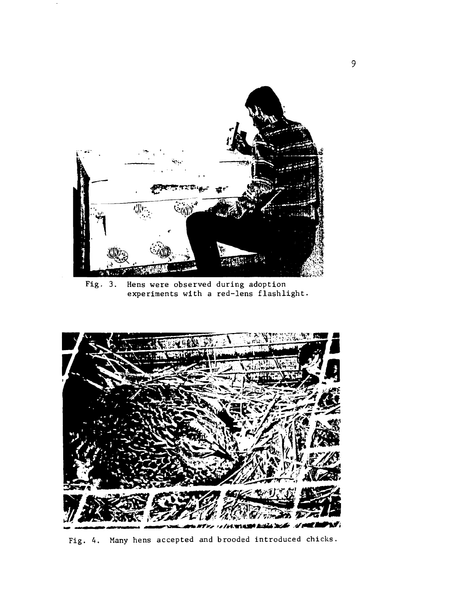

Fig. 3. Hens were observed during adoption experiments with a red-lens flashlight.



Fig. 4. Many hens accepted and brooded introduced chicks.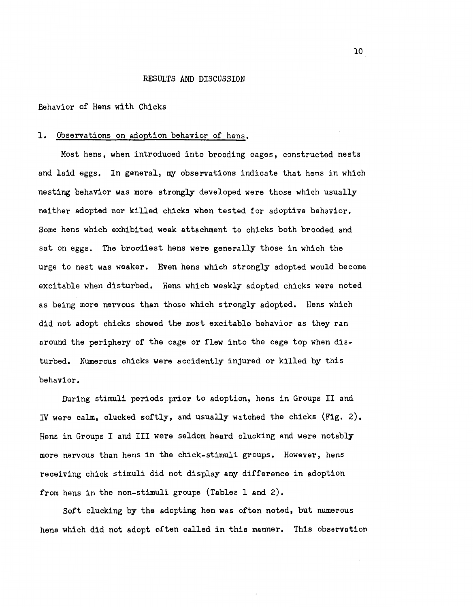#### RESULTS AND DISCUSSION

Behavior of Hens with Chicks

## 1. Observations on adoption behavior of hens.

Most hens, when introduced into brooding cages, constructed nests and laid eggs. In general, my observations indicate that hens in which nesting behavior was more strongly developed were those which usually neither adopted nor killed chicks when tested for adoptive behavior. Some hens which exhibited weak attachment to chicks both brooded and sat on eggs. The broodiest hens were generally those in which the urge to nest was weaker. Even hens which strongly adopted would become excitable when disturbed. Hens which weakly adopted chicks were noted as being more nervous than those which strongly adopted. Hens which did not adopt chicks showed the most excitable behavior as they ran around the periphery of the cage or flew into the cage top when disturbed. Numerous chicks were accidently injured or killed by this behavior.

During stimuli periods prior to adoption, hens in Groups II and IV were calm, clucked softly, and usually watched the chicks (Fig. 2). Hens in Groups I and III were seldom heard clucking and were notably more nervous than hens in the chick-stimuli groups. However, hens receiving chick stimuli did not display any difference in adoption from hens in the non-stimuli groups (Tables land 2).

Soft clucking by the adopting hen was often noted, but numerous hens which did not adopt often called in this manner. This observation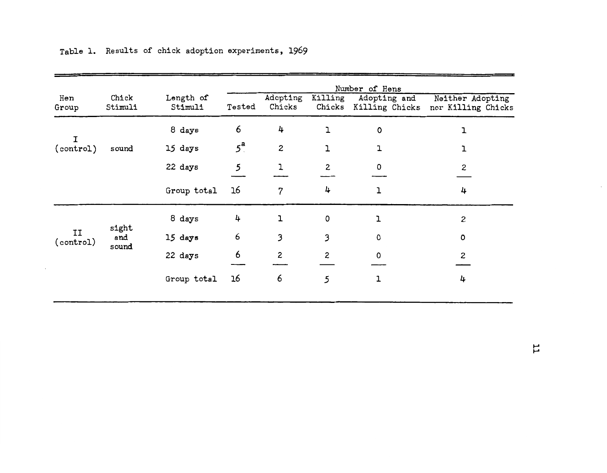|                 |                  |                      | Number of Hens   |                    |                    |                                       |                                        |  |  |  |
|-----------------|------------------|----------------------|------------------|--------------------|--------------------|---------------------------------------|----------------------------------------|--|--|--|
| Hen<br>Group    | Chick<br>Stimuli | Length of<br>Stimuli | Tested           | Adopting<br>Chicks | Killing            | Adopting and<br>Chicks Killing Chicks | Neither Adopting<br>nor Killing Chicks |  |  |  |
|                 |                  | 8 days               | 6                | 4                  | ı                  | 0                                     | ı                                      |  |  |  |
| т<br>(control)  | sound            | 15 days              | $5^{\mathrm{a}}$ | $\mathbf{z}$       | ı                  |                                       | ı                                      |  |  |  |
|                 |                  | 22 days              | 5                |                    | $\mathbf{2}$       | 0                                     | $\overline{c}$                         |  |  |  |
|                 |                  | Group total          | 16               | $\overline{7}$     | 4                  |                                       | 4                                      |  |  |  |
|                 |                  | 8 days               | 4                |                    | $\pmb{\mathsf{O}}$ | ı                                     | 2                                      |  |  |  |
| II<br>(control) | sight<br>and     | 15 days              | 6                | 3                  | 3                  | 0                                     | 0                                      |  |  |  |
|                 | sound            | 22 days              | 6                | 2                  | $\mathbf{z}$       | 0                                     | 2                                      |  |  |  |
|                 |                  | Group total          | 16               | 6                  | 5                  | ı                                     | 4                                      |  |  |  |

Table l. Results of chick adoption experiments, 1969

 $\cdot$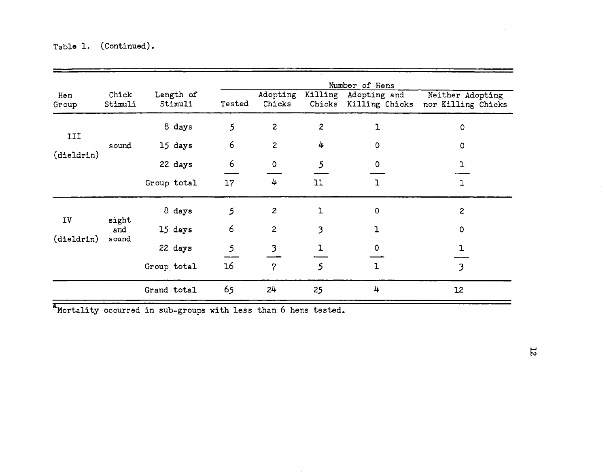|              | Number of Hens        |  |                      |                 |                    |                   |                                |                                        |
|--------------|-----------------------|--|----------------------|-----------------|--------------------|-------------------|--------------------------------|----------------------------------------|
| Hen<br>Group | Chick<br>Stimuli      |  | Length of<br>Stimuli | Tested          | Adopting<br>Chicks | Killing<br>Chicks | Adopting and<br>Killing Chicks | Neither Adopting<br>nor Killing Chicks |
|              |                       |  | 8 days               | 5               | $\mathbf{z}$       | $\mathbf{2}$      | ı                              | 0                                      |
| III          | sound                 |  | 15 days              | 6               | $\mathbf{z}$       | 4                 | $\Omega$                       | 0                                      |
| (dieldrin)   |                       |  | 22 days              | 6               | 0                  | 5                 | 0                              |                                        |
|              |                       |  | Group total          | 17 <sup>2</sup> | 4                  | 11                | $\mathbf{L}$                   | $\mathbf{1}$                           |
|              | sight<br>and<br>sound |  | 8 days               | 5               | $\mathbf{z}$       | ı                 | $\mathbf 0$                    | 2                                      |
| IV           |                       |  | 15 days              | 6               | $\mathbf{z}$       | 3                 | $\mathbf{I}$                   | $\circ$                                |
| (dieldrin)   |                       |  | 22 days              | 5               | 3                  | ı                 | 0                              |                                        |
|              |                       |  | Group total          | 16              | $\overline{7}$     | $\mathfrak{h}$    | $\mathbf{I}$                   | 3                                      |
|              |                       |  | Grand total          | 65              | 24                 | 25                | 4                              | 12                                     |

Mortality occurred in sub-groups with less than 6 hens tested.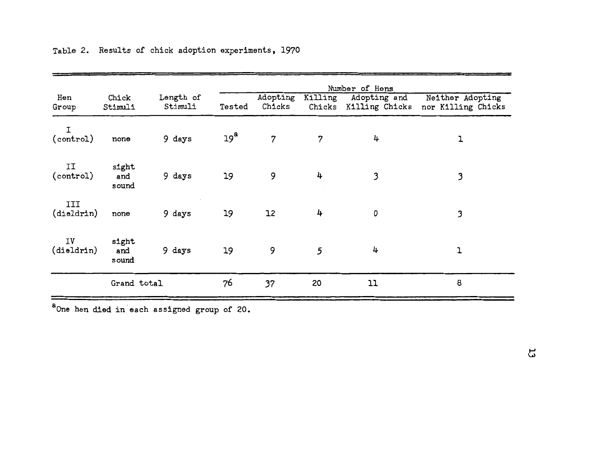| Hen<br>Group      | Chick<br>Stimuli      | Length of<br>Stimuli | Tested          | Adopting<br>Chicks | Killing<br>Chicks | Adopting and<br>Killing Chicks | Neither Adopting<br>nor Killing Chicks |
|-------------------|-----------------------|----------------------|-----------------|--------------------|-------------------|--------------------------------|----------------------------------------|
| I<br>(control)    | none                  | 9 days               | 19 <sup>a</sup> | $\overline{7}$     | $\overline{7}$    | 4                              | ı                                      |
| II<br>(control)   | sight<br>and<br>sound | 9 days               | 19              | 9                  | 4                 | 3                              | 3                                      |
| III<br>(dieldrin) | none                  | 9 days               | 19              | 12                 | 4                 | 0                              | 3                                      |
| IV<br>(dieldrin)  | sight<br>and<br>sound | 9 days               | 19              | 9                  | 5                 | 4                              | ı                                      |
|                   | Grand total           |                      | 76              | 37                 | 20                | 11                             | 8                                      |

Table 2. Results of chick adoption experiments, 1970

a One hen died in each assigned group of 20.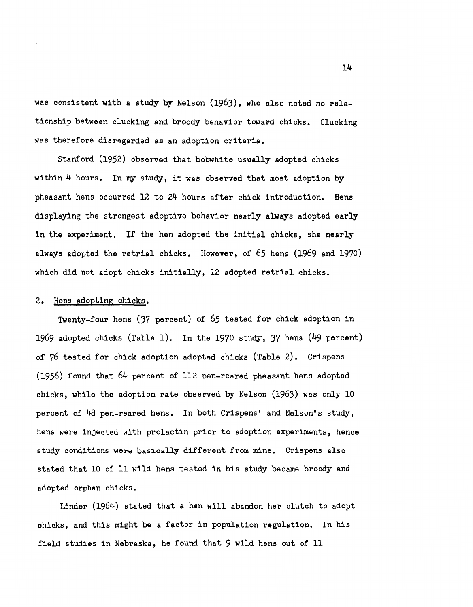was consistent with a study by Nelson (1963), who also noted no relationship between clucking and broody behavior toward chicks. Clucking was therefore disregarded as an adoption criteria.

Stanford (1952) observed that bobwhite usually adopted chicks within 4 hours. In my study, it was observed that most adoption by pheasant hens occurred  $12$  to  $24$  hours after chick introduction. Hens displaying the strongest adoptive behavior nearly always adopted early in the experiment. If the hen adopted the initial chicks, she nearly always adopted the retrial chicks. However, of *65* hens (1969 and 1970) which did not adopt chicks initially, 12 adopted retrial chicks.

### 2. Hens adopting chicks.

Twenty-four hens (37 percent) of 65 tested for chick adoption in 1969 adopted chicks (Table 1). In the 1970 study, 37 hens (49 percent) of 76 tested for chick adoption adopted chicks (Table 2). Crispens (1956) found that 64 percent of 112 pen-reared pheasant hens adopted chicks, while the adoption rate observed by Nelson (1963) was only 10 percent of 48 pen-reared hens. In both Crispens' and Nelson's study, hens were injected with prolactin prior to adoption experiments, hence study conditions were basically different from mine. Crispens also stated that 10 of 11 wild hens tested in his study became broody and adopted orphan chicks.

Linder (1964) stated that a hen will abandon her clutch to adopt chicks, and this might be a factor in population regulation. In his field studies in Nebraska, he found that 9 wild hens out of 11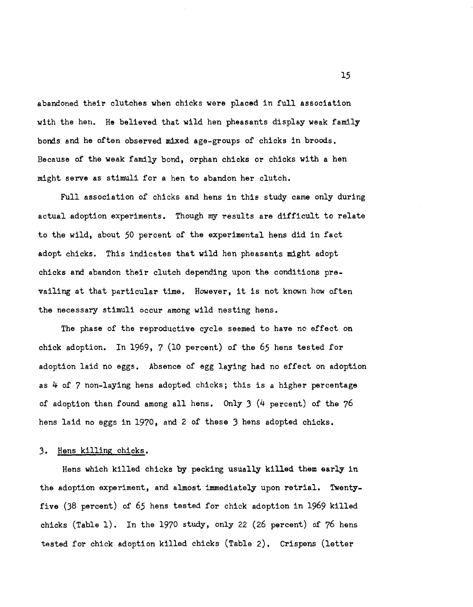abandoned their clutches when chicks were placed in full association with the hen. He believed that wild hen pheasants display weak family bonds and he often observed mixed age-groups of chicks in broods. Because *of* the weak family bond, orphan chicks or chicks with a hen might serve as stimuli for a hen to abandon her clutch.

Full association of chicks and hens in this study came only during actual adoption experiments. Though my results are difficult to relate to the wild, about *50* percent *of* the experimental hens did in fact adopt chicks. This indicates that wild hen pheasants might adopt chicks and abandon their clutch depending upon the conditions prevailing at that particular time. However, it is not known how often the necessary stimuli occur among wild nesting hens.

The phase of the reproductive cycle seemed to have no effect on chick adoption. In 1969, 7 (10 percent) of the *65* hens tested for adoption laid no eggs. Absence of egg laying had no effect on adoption as 4 of 7 non-laying hens adopted chicks; this is a higher percentage of adoption than found among all hens. Only 3 (4 percent) of the 76 hens laid no eggs in 1970, and 2 of these 3 hens adopted chicks.

## J. Hens killing chicks.

Hens which killed chicks by pecking usually killed them early in the adoption experiment, and almost immediately upon retrial. Twentyfive (38 percent) of *65* hens tested for chick adoption in 1969 killed chicks (Table 1). In the 1970 study, only 22 (26 percent) of 76 hens tested for chick adoption killed chicks (Table 2). Crispens (letter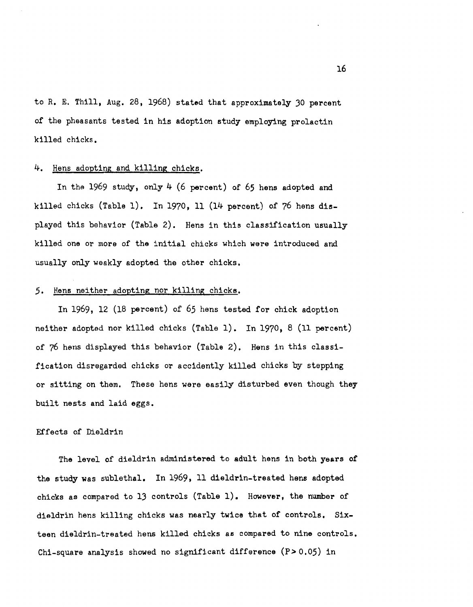to R. E. Thill, Aug. 28, 1968) stated that approximately 30 percent of the pheasants tested in his adoption study employing prolactin killed chicks.

## 4. Hens adopting and killing chicks.

In the 1969 study, only 4 (6 percent) of *65* hens adopted and killed chicks (Table 1). In 1970, 11 (14 percent) of 76 hens displayed this behavior (Table 2). Hens in this classification usually killed one or more of the initial chicks which were introduced and usually only weakly adopted the other chicks.

## *5,* Hens neither adopting nor killing chicks.

In 1969, 12 (18 percent) of *65* hens tested for chick adoption neither adopted nor killed chicks (Table 1). In 1970, 8 (11 percent) of 76 hens displayed this behavior (Table 2). Hens in this classification disregarded chicks or accidently killed chicks by stepping or sitting on them, These hens were easily disturbed even though they built nests and laid eggs.

## Effects of Dieldrin

The level of dieldrin administered to adult hens in both years of the study was sublethal. In 1969, 11 dieldrin-treated hens adopted chicks as compared to 13 controls (Table 1). However, the number of dieldrin hens killing chicks was nearly twice that of controls. Sixteen dieldrin-treated hens killed chicks as compared to nine controls. Chi-square analysis showed no significant difference (P>0,05) in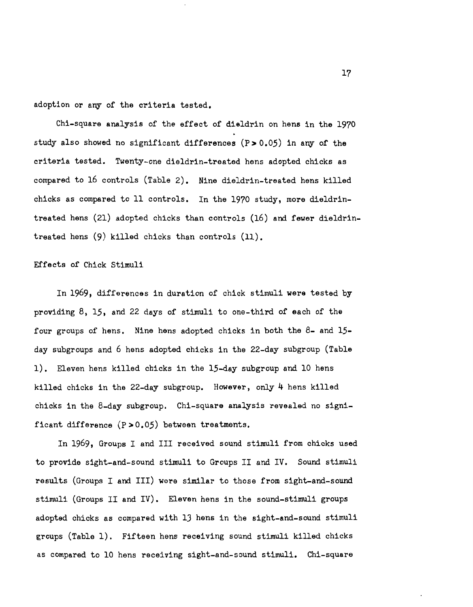adoption or any of the criteria tested.

Chi-square analysis of the effect of dieldrin on hens in the 19?0 study also showed no significant differences (P>0.05) in any *of* the criteria tested. Twenty-one dieldrin-treated hens adopted chicks as compared to 16 controls (Table 2). Nine dieldrin-treated hens killed chicks as compared to 11 controls. In the 19?0 study, more dieldrintreated hens (21) adopted chicks than controls (16) and fewer dieldrintreated hens (9) killed chicks than controls (11).

## Effects of Chick Stimuli

In 1969, differences in duration of chick stimuli were tested by providing 8, 15, and 22 days of stimuli to one-third of each of the four groups of hens. Nine hens adopted chicks in both the 8- and 15 day subgroups and 6 hens adopted chicks in the 22-day subgroup (Table 1). Eleven hens killed chicks in the 15-day subgroup and 10 hens killed chicks in the 22-day subgroup. However, only 4 hens killed chicks in the 8-day subgroup. Chi-square analysis revealed no significant difference  $(P>0.05)$  between treatments.

In 1969, Groups I and III received sound stimuli from chicks used to provide sight-and-sound stimuli to Groups II and IV. Sound stimuli results (Groups I and III) were similar to those from sight-and-sound stimuli (Groups II and IV). Eleven hens in the sound-stimuli groups adopted chicks as compared with lJ hens in the sight-and-sound stimuli groups (Table 1). Fifteen hens receiving sound stimuli killed chicks as compared to 10 hens receiving sight-and-sound stimuli. Chi-square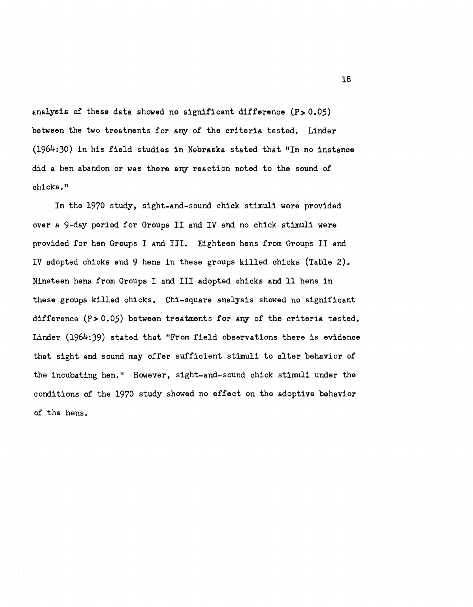analysis of these data showed no significant difference  $(P>0.05)$ between the two treatments for any of the criteria tested, Linder (1964:30) in his field studies in Nebraska stated that "In no instance did a hen abandon or was there any reaction noted to the sound of chicks,"

In the 1970 study, sight-and-sound chick stimuli were provided over a 9-day period for Groups II and IV and no chick stimuli were provided for hen Groups I and III. Eighteen hens from Groups II and IV adopted chicks and 9 hens in these groups killed chicks (Table 2). Nineteen hens from Groups I and III adopted chicks and 11 hens in these groups killed chicks. Chi-square analysis showed no significant difference (P>0.05) between treatments for any of the criteria tested. Linder (1964:39) stated that "From field observations there is evidence that sight and sound may offer sufficient stimuli to alter behavior of the incubating hen." However, sight-and-sound chick stimuli under the conditions of the 1970 study showed no effect on the adoptive behavior of the hens.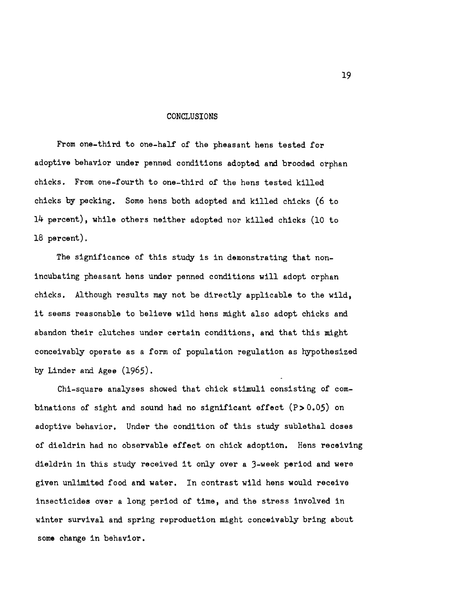### CONCLUSIONS

From one-third to one-half of the pheasant hens tested for adoptive behavior under penned conditions adopted and brooded orphan chicks. From one-fourth to one-third of the hens tested killed chicks by pecking. Some hens both adopted and killed chicks (6 to 14 percent), while others neither adopted nor killed chicks (10 to 18 percent).

The significance of this study is in demonstrating that nonincubating pheasant hens under penned conditions will adopt orphan chicks. Although results may not be directly applicable to the wild, it seems reasonable to believe wild hens might also adopt chicks and abandon their clutches under certain conditions, and that this might conceivably operate as a form of population regulation as hypothesized by Linder and Agee (1965).

Chi-square analyses showed that chick stimuli consisting of combinations of sight and sound had no significant effect  $(P>0.05)$  on adoptive behavior. Under the condition of this study sublethal doses of dieldrin had no observable effect on chick adoption. Hens receiving dieldrin in this study received it only over a 3-week period and were given unlimited food and water. In contrast wild hens would receive insecticides over a long period of time, and the stress involved in winter survival and spring reproduction might conceivably bring about some change in behavior.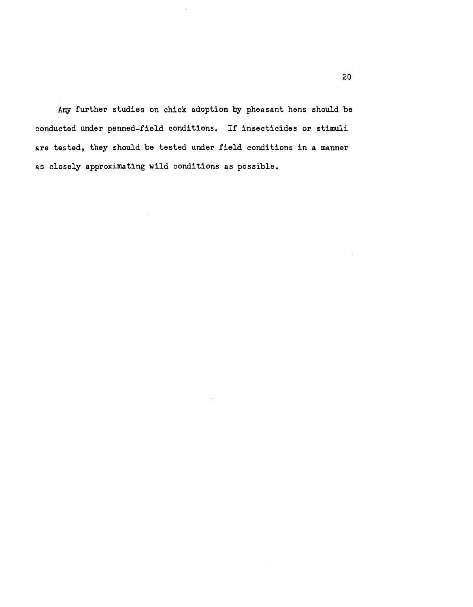Any further studies on chick adoption by pheasant hens should be conducted under penned-field conditions. If insecticides or stimuli are tested, they should be tested under field conditions in a manner as closely approximating wild conditions as possible.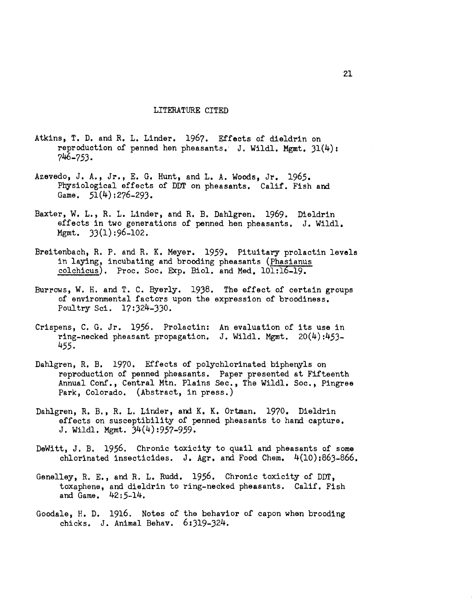### LITERATURE CITED

- Atkins, T. D. and R. L. Linder. 1967. Effects of dieldrin on reproduction of penned hen pheasants. J. Wildl. Mgmt.  $31(4)$ : 746-753.
- Azevedo, J. A., Jr., E. G. Hunt, and L. A. Woods, Jr. 1965. Physiological effects of DDT on pheasants. Calif. Fish and Game.  $51(4):276-293$ .
- Baxter, W. L., R. L. Linder, and R. B. Dahlgren. 1969. Dieldrin effects in two generations of penned hen pheasants. J. Wildl. Mgmt. 33(1):96-102.
- Breitenbach, R. P. and R. K. Meyer. 1959. Pituitary prolactin levels in laying, incubating and brooding pheasants (Phasianus colchicus). Proc. Soc. Exp. Biol. and Med. 101:16-19.
- Burrows, W. H. and T. C. Byerly. 1938. The effect of certain groups of environmental factors upon the expression of broodiness. Poultry Sci. 17:324-JJO.
- Crispens, C. G. Jr. 1956. Prolactin: An evaluation of its use in ring-necked pheasant propagation. J. Wildl. Mgmt. 20(4):453- 455.
- Dahlgren, R. B. 1970. Effects of polychlorinated biphenyls on reproduction of penned pheasants. Paper presented at Fifteenth Annual Conf., Central Mtn. Plains Sec., The Wildl. Soc., Pingree Park, Colorado. (Abstract, in press.)
- Dahlgren, R. B., R. L. Linder, and K. K. Ortman. 1970. Dieldrin effects on susceptibility of penned pheasants to hand capture. J. Wildl. Mgmt. 34(4):957-959.
- DeWitt, J. B. 1956. Chronic toxicity to quail and pheasants of some chlorinated insecticides. J. Agr. and Food Chem. 4(10):863-866.
- Genelley, R. E., and R. L. Rudd. 1956. Chronic toxicity of DDT. toxaphene, and dieldrin to ring-necked pheasants. Calif. Fish and Game. 42:5-14.
- Goodale, H. D. 1916. Notes of the behavior of capon when brooding chicks. J. Animal Behav. 6:Jl9-J24.